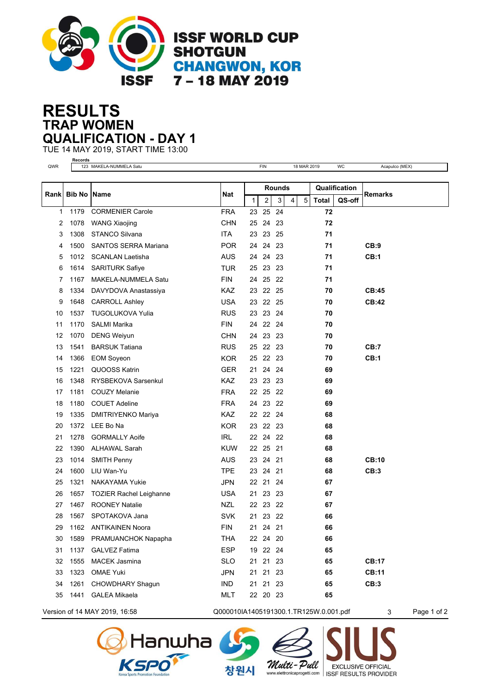

## **TRAP WOMEN RESULTS QUALIFICATION - DAY 1**

TUE 14 MAY 2019, START TIME 13:00 **Records**

| QWR  |      | 123 MAKELA-NUMMELA Satu        |            |              | <b>FIN</b> |     |   | 18 MAR 2019 |               | WC     | Acapulco (MEX) |
|------|------|--------------------------------|------------|--------------|------------|-----|---|-------------|---------------|--------|----------------|
|      |      |                                |            |              |            |     |   |             |               |        |                |
| Rank |      | <b>Bib No   Name</b>           |            |              | Rounds     |     |   |             | Qualification |        |                |
|      |      |                                | <b>Nat</b> | $\mathbf{1}$ | 2          | 3   | 4 | $\,$ 5 $\,$ | <b>Total</b>  | QS-off | Remarks        |
| 1    | 1179 | <b>CORMENIER Carole</b>        | <b>FRA</b> | 23           | 25         | 24  |   |             | 72            |        |                |
| 2    | 1078 | <b>WANG Xiaojing</b>           | <b>CHN</b> | 25           | 24         | -23 |   |             | 72            |        |                |
| 3    | 1308 | <b>STANCO Silvana</b>          | <b>ITA</b> | 23           | 23 25      |     |   |             | 71            |        |                |
| 4    | 1500 | <b>SANTOS SERRA Mariana</b>    | <b>POR</b> | 24           | 24 23      |     |   |             | 71            |        | CB:9           |
| 5    | 1012 | <b>SCANLAN Laetisha</b>        | <b>AUS</b> | 24           | 24         | 23  |   |             | 71            |        | CB:1           |
| 6    | 1614 | <b>SARITURK Safiye</b>         | <b>TUR</b> | 25           | 23 23      |     |   |             | 71            |        |                |
| 7    | 1167 | MAKELA-NUMMELA Satu            | <b>FIN</b> | 24           | 25 22      |     |   |             | 71            |        |                |
| 8    | 1334 | DAVYDOVA Anastassiya           | <b>KAZ</b> | 23           | 22 25      |     |   |             | 70            |        | CB:45          |
| 9    | 1648 | <b>CARROLL Ashley</b>          | <b>USA</b> | 23           | 22 25      |     |   |             | 70            |        | <b>CB:42</b>   |
| 10   | 1537 | <b>TUGOLUKOVA Yulia</b>        | <b>RUS</b> | 23           | 23 24      |     |   |             | 70            |        |                |
| 11   | 1170 | <b>SALMI Marika</b>            | <b>FIN</b> | 24           | 22 24      |     |   |             | 70            |        |                |
| 12   | 1070 | <b>DENG Weiyun</b>             | <b>CHN</b> | 24           | 23 23      |     |   |             | 70            |        |                |
| 13   | 1541 | <b>BARSUK Tatiana</b>          | <b>RUS</b> | 25           | 22 23      |     |   |             | 70            |        | CB:7           |
| 14   | 1366 | <b>EOM Soyeon</b>              | <b>KOR</b> |              | 25 22 23   |     |   |             | 70            |        | CB:1           |
| 15   | 1221 | QUOOSS Katrin                  | <b>GER</b> | 21           | 24 24      |     |   |             | 69            |        |                |
| 16   | 1348 | RYSBEKOVA Sarsenkul            | KAZ        | 23           | 23 23      |     |   |             | 69            |        |                |
| 17   | 1181 | <b>COUZY Melanie</b>           | <b>FRA</b> |              | 22 25 22   |     |   |             | 69            |        |                |
| 18   | 1180 | <b>COUET Adeline</b>           | <b>FRA</b> | 24           | 23 22      |     |   |             | 69            |        |                |
| 19   | 1335 | DMITRIYENKO Mariya             | KAZ.       | 22           | 22 24      |     |   |             | 68            |        |                |
| 20   | 1372 | LEE Bo Na                      | <b>KOR</b> | 23           | 22 23      |     |   |             | 68            |        |                |
| 21   | 1278 | <b>GORMALLY Aoife</b>          | <b>IRL</b> |              | 22 24 22   |     |   |             | 68            |        |                |
| 22   | 1390 | <b>ALHAWAL Sarah</b>           | <b>KUW</b> | 22           | 25 21      |     |   |             | 68            |        |                |
| 23   | 1014 | <b>SMITH Penny</b>             | <b>AUS</b> | 23           | 24 21      |     |   |             | 68            |        | <b>CB:10</b>   |
| 24   | 1600 | LIU Wan-Yu                     | <b>TPE</b> | 23           | 24 21      |     |   |             | 68            |        | CB:3           |
| 25   | 1321 | <b>NAKAYAMA Yukie</b>          | <b>JPN</b> | 22           | 21 24      |     |   |             | 67            |        |                |
| 26   | 1657 | <b>TOZIER Rachel Leighanne</b> | <b>USA</b> | 21           | 23         | -23 |   |             | 67            |        |                |
| 27   | 1467 | <b>ROONEY Natalie</b>          | <b>NZL</b> | 22           | 23 22      |     |   |             | 67            |        |                |
| 28   | 1567 | SPOTAKOVA Jana                 | <b>SVK</b> | 21           | 23 22      |     |   |             | 66            |        |                |
| 29   | 1162 | <b>ANTIKAINEN Noora</b>        | <b>FIN</b> | 21           | 24 21      |     |   |             | 66            |        |                |
| 30   | 1589 | PRAMUANCHOK Napapha            | <b>THA</b> |              | 22 24 20   |     |   |             | 66            |        |                |
| 31   | 1137 | <b>GALVEZ Fatima</b>           | <b>ESP</b> |              | 19 22 24   |     |   |             | 65            |        |                |
| 32   | 1555 | <b>MACEK Jasmina</b>           | <b>SLO</b> | 21           | 21 23      |     |   |             | 65            |        | <b>CB:17</b>   |
| 33   | 1323 | <b>OMAE Yuki</b>               | <b>JPN</b> | 21           | 21 23      |     |   |             | 65            |        | <b>CB:11</b>   |
| 34   | 1261 | CHOWDHARY Shagun               | <b>IND</b> |              | 21 21 23   |     |   |             | 65            |        | CB:3           |
| 35   | 1441 | <b>GALEA Mikaela</b>           | <b>MLT</b> |              | 22 20 23   |     |   |             | 65            |        |                |
|      |      |                                |            |              |            |     |   |             |               |        |                |

Version of 14 MAY 2019, 16:58 Q000010IA1405191300.1.TR125W.0.001.pdf 3 Page 1 of 2